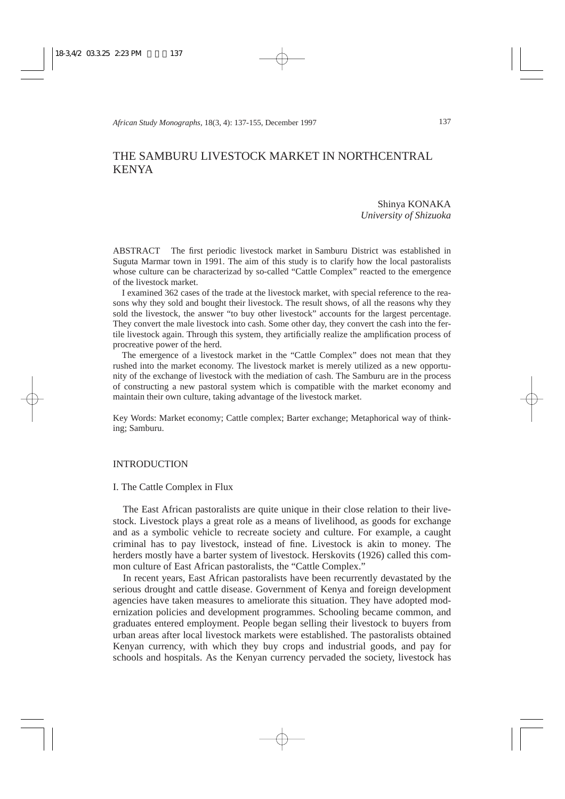# THE SAMBURU LIVESTOCK MARKET IN NORTHCENTRAL KENYA

Shinya KONAKA *University of Shizuoka*

ABSTRACT The first periodic livestock market in Samburu District was established in Suguta Marmar town in 1991. The aim of this study is to clarify how the local pastoralists whose culture can be characterizad by so-called "Cattle Complex" reacted to the emergence of the livestock market.

I examined 362 cases of the trade at the livestock market, with special reference to the reasons why they sold and bought their livestock. The result shows, of all the reasons why they sold the livestock, the answer "to buy other livestock" accounts for the largest percentage. They convert the male livestock into cash. Some other day, they convert the cash into the fertile livestock again. Through this system, they artificially realize the amplification process of procreative power of the herd.

The emergence of a livestock market in the "Cattle Complex" does not mean that they rushed into the market economy. The livestock market is merely utilized as a new opportunity of the exchange of livestock with the mediation of cash. The Samburu are in the process of constructing a new pastoral system which is compatible with the market economy and maintain their own culture, taking advantage of the livestock market.

Key Words: Market economy; Cattle complex; Barter exchange; Metaphorical way of thinking; Samburu.

#### INTRODUCTION

#### I. The Cattle Complex in Flux

The East African pastoralists are quite unique in their close relation to their livestock. Livestock plays a great role as a means of livelihood, as goods for exchange and as a symbolic vehicle to recreate society and culture. For example, a caught criminal has to pay livestock, instead of fine. Livestock is akin to money. The herders mostly have a barter system of livestock. Herskovits (1926) called this common culture of East African pastoralists, the "Cattle Complex."

In recent years, East African pastoralists have been recurrently devastated by the serious drought and cattle disease. Government of Kenya and foreign development agencies have taken measures to ameliorate this situation. They have adopted modernization policies and development programmes. Schooling became common, and graduates entered employment. People began selling their livestock to buyers from urban areas after local livestock markets were established. The pastoralists obtained Kenyan currency, with which they buy crops and industrial goods, and pay for schools and hospitals. As the Kenyan currency pervaded the society, livestock has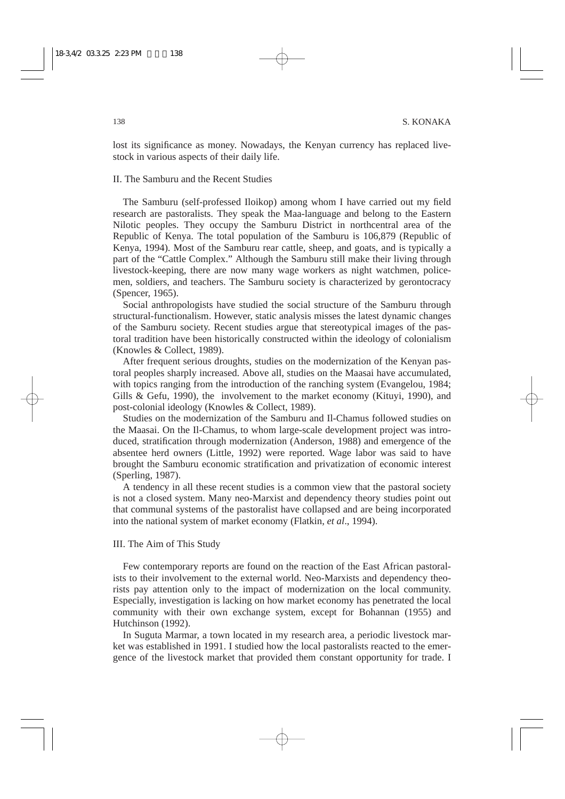lost its significance as money. Nowadays, the Kenyan currency has replaced livestock in various aspects of their daily life.

# II. The Samburu and the Recent Studies

The Samburu (self-professed Iloikop) among whom I have carried out my field research are pastoralists. They speak the Maa-language and belong to the Eastern Nilotic peoples. They occupy the Samburu District in northcentral area of the Republic of Kenya. The total population of the Samburu is 106,879 (Republic of Kenya, 1994). Most of the Samburu rear cattle, sheep, and goats, and is typically a part of the "Cattle Complex." Although the Samburu still make their living through livestock-keeping, there are now many wage workers as night watchmen, policemen, soldiers, and teachers. The Samburu society is characterized by gerontocracy (Spencer, 1965).

Social anthropologists have studied the social structure of the Samburu through structural-functionalism. However, static analysis misses the latest dynamic changes of the Samburu society. Recent studies argue that stereotypical images of the pastoral tradition have been historically constructed within the ideology of colonialism (Knowles & Collect, 1989).

After frequent serious droughts, studies on the modernization of the Kenyan pastoral peoples sharply increased. Above all, studies on the Maasai have accumulated, with topics ranging from the introduction of the ranching system (Evangelou, 1984; Gills & Gefu, 1990), the involvement to the market economy (Kituyi, 1990), and post-colonial ideology (Knowles & Collect, 1989).

Studies on the modernization of the Samburu and Il-Chamus followed studies on the Maasai. On the Il-Chamus, to whom large-scale development project was introduced, stratification through modernization (Anderson, 1988) and emergence of the absentee herd owners (Little, 1992) were reported. Wage labor was said to have brought the Samburu economic stratification and privatization of economic interest (Sperling, 1987).

A tendency in all these recent studies is a common view that the pastoral society is not a closed system. Many neo-Marxist and dependency theory studies point out that communal systems of the pastoralist have collapsed and are being incorporated into the national system of market economy (Flatkin, *et al*., 1994).

#### III. The Aim of This Study

Few contemporary reports are found on the reaction of the East African pastoralists to their involvement to the external world. Neo-Marxists and dependency theorists pay attention only to the impact of modernization on the local community. Especially, investigation is lacking on how market economy has penetrated the local community with their own exchange system, except for Bohannan (1955) and Hutchinson (1992).

In Suguta Marmar, a town located in my research area, a periodic livestock market was established in 1991. I studied how the local pastoralists reacted to the emergence of the livestock market that provided them constant opportunity for trade. I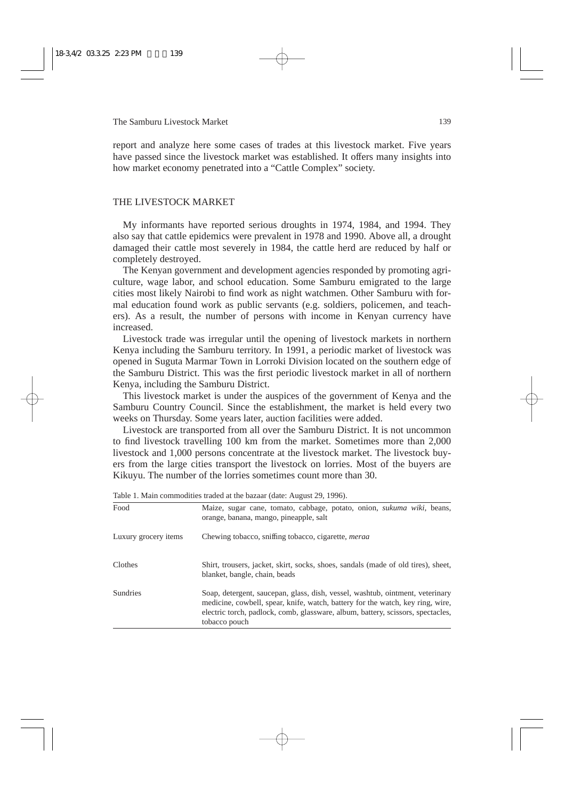report and analyze here some cases of trades at this livestock market. Five years have passed since the livestock market was established. It offers many insights into how market economy penetrated into a "Cattle Complex" society.

### THE LIVESTOCK MARKET

My informants have reported serious droughts in 1974, 1984, and 1994. They also say that cattle epidemics were prevalent in 1978 and 1990. Above all, a drought damaged their cattle most severely in 1984, the cattle herd are reduced by half or completely destroyed.

The Kenyan government and development agencies responded by promoting agriculture, wage labor, and school education. Some Samburu emigrated to the large cities most likely Nairobi to find work as night watchmen. Other Samburu with formal education found work as public servants (e.g. soldiers, policemen, and teachers). As a result, the number of persons with income in Kenyan currency have increased.

Livestock trade was irregular until the opening of livestock markets in northern Kenya including the Samburu territory. In 1991, a periodic market of livestock was opened in Suguta Marmar Town in Lorroki Division located on the southern edge of the Samburu District. This was the first periodic livestock market in all of northern Kenya, including the Samburu District.

This livestock market is under the auspices of the government of Kenya and the Samburu Country Council. Since the establishment, the market is held every two weeks on Thursday. Some years later, auction facilities were added.

Livestock are transported from all over the Samburu District. It is not uncommon to find livestock travelling 100 km from the market. Sometimes more than 2,000 livestock and 1,000 persons concentrate at the livestock market. The livestock buyers from the large cities transport the livestock on lorries. Most of the buyers are Kikuyu. The number of the lorries sometimes count more than 30.

| Table 1. Maill Commodities traded at the bazaar (Gate. Tugust 2), 1990).                                                                                                                                                                                            |  |  |
|---------------------------------------------------------------------------------------------------------------------------------------------------------------------------------------------------------------------------------------------------------------------|--|--|
| Maize, sugar cane, tomato, cabbage, potato, onion, sukuma wiki, beans,<br>orange, banana, mango, pineapple, salt                                                                                                                                                    |  |  |
| Chewing tobacco, sniffing tobacco, cigarette, <i>merga</i>                                                                                                                                                                                                          |  |  |
| Shirt, trousers, jacket, skirt, socks, shoes, sandals (made of old tires), sheet,<br>blanket, bangle, chain, beads                                                                                                                                                  |  |  |
| Soap, detergent, saucepan, glass, dish, vessel, washtub, ointment, veterinary<br>medicine, cowbell, spear, knife, watch, battery for the watch, key ring, wire,<br>electric torch, padlock, comb, glassware, album, battery, scissors, spectacles,<br>tobacco pouch |  |  |
|                                                                                                                                                                                                                                                                     |  |  |

Table 1. Main commodities traded at the bazaar (date: August 29, 1996).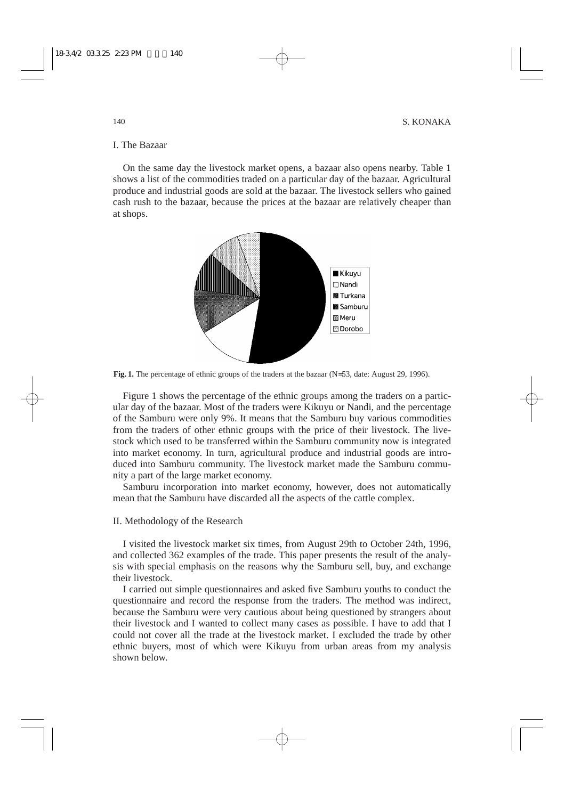# I. The Bazaar

On the same day the livestock market opens, a bazaar also opens nearby. Table 1 shows a list of the commodities traded on a particular day of the bazaar. Agricultural produce and industrial goods are sold at the bazaar. The livestock sellers who gained cash rush to the bazaar, because the prices at the bazaar are relatively cheaper than at shops.



**Fig. 1.** The percentage of ethnic groups of the traders at the bazaar (N=53, date: August 29, 1996).

Figure 1 shows the percentage of the ethnic groups among the traders on a particular day of the bazaar. Most of the traders were Kikuyu or Nandi, and the percentage of the Samburu were only 9%. It means that the Samburu buy various commodities from the traders of other ethnic groups with the price of their livestock. The livestock which used to be transferred within the Samburu community now is integrated into market economy. In turn, agricultural produce and industrial goods are introduced into Samburu community. The livestock market made the Samburu community a part of the large market economy.

Samburu incorporation into market economy, however, does not automatically mean that the Samburu have discarded all the aspects of the cattle complex.

### II. Methodology of the Research

I visited the livestock market six times, from August 29th to October 24th, 1996, and collected 362 examples of the trade. This paper presents the result of the analysis with special emphasis on the reasons why the Samburu sell, buy, and exchange their livestock.

I carried out simple questionnaires and asked five Samburu youths to conduct the questionnaire and record the response from the traders. The method was indirect, because the Samburu were very cautious about being questioned by strangers about their livestock and I wanted to collect many cases as possible. I have to add that I could not cover all the trade at the livestock market. I excluded the trade by other ethnic buyers, most of which were Kikuyu from urban areas from my analysis shown below.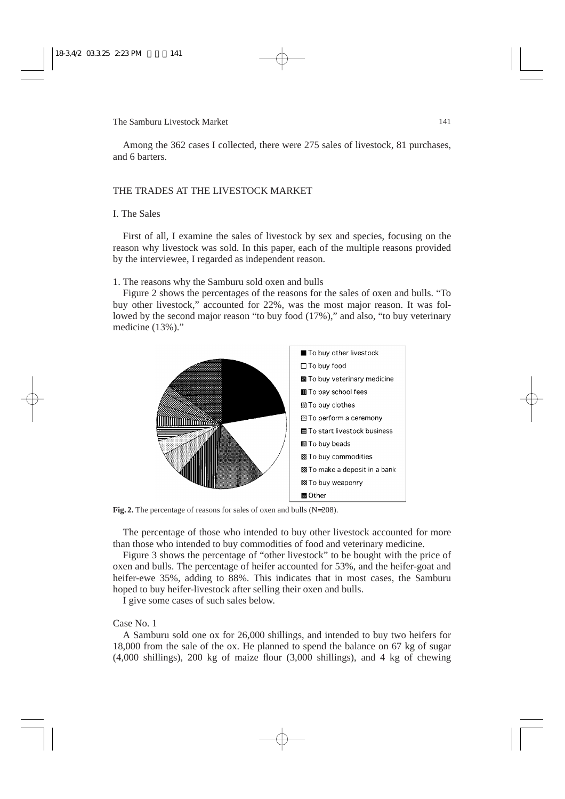Among the 362 cases I collected, there were 275 sales of livestock, 81 purchases, and 6 barters.

# THE TRADES AT THE LIVESTOCK MARKET

# I. The Sales

First of all, I examine the sales of livestock by sex and species, focusing on the reason why livestock was sold. In this paper, each of the multiple reasons provided by the interviewee, I regarded as independent reason.

1. The reasons why the Samburu sold oxen and bulls

Figure 2 shows the percentages of the reasons for the sales of oxen and bulls. "To buy other livestock," accounted for 22%, was the most major reason. It was followed by the second major reason "to buy food  $(17%)$ ," and also, "to buy veterinary medicine (13%)."



**Fig. 2.** The percentage of reasons for sales of oxen and bulls (N=208).

The percentage of those who intended to buy other livestock accounted for more than those who intended to buy commodities of food and veterinary medicine.

Figure 3 shows the percentage of "other livestock" to be bought with the price of oxen and bulls. The percentage of heifer accounted for 53%, and the heifer-goat and heifer-ewe 35%, adding to 88%. This indicates that in most cases, the Samburu hoped to buy heifer-livestock after selling their oxen and bulls.

I give some cases of such sales below.

#### Case No. 1

A Samburu sold one ox for 26,000 shillings, and intended to buy two heifers for 18,000 from the sale of the ox. He planned to spend the balance on 67 kg of sugar (4,000 shillings), 200 kg of maize flour (3,000 shillings), and 4 kg of chewing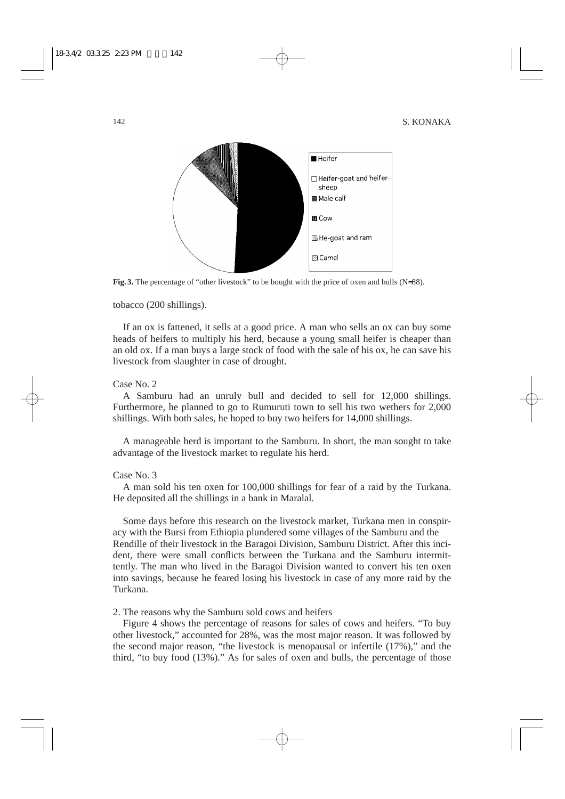

**Fig. 3.** The percentage of "other livestock" to be bought with the price of oxen and bulls (N=88).

tobacco (200 shillings).

If an ox is fattened, it sells at a good price. A man who sells an ox can buy some heads of heifers to multiply his herd, because a young small heifer is cheaper than an old ox. If a man buys a large stock of food with the sale of his ox, he can save his livestock from slaughter in case of drought.

Case No. 2

A Samburu had an unruly bull and decided to sell for 12,000 shillings. Furthermore, he planned to go to Rumuruti town to sell his two wethers for 2,000 shillings. With both sales, he hoped to buy two heifers for 14,000 shillings.

A manageable herd is important to the Samburu. In short, the man sought to take advantage of the livestock market to regulate his herd.

### Case No. 3

A man sold his ten oxen for 100,000 shillings for fear of a raid by the Turkana. He deposited all the shillings in a bank in Maralal.

Some days before this research on the livestock market, Turkana men in conspiracy with the Bursi from Ethiopia plundered some villages of the Samburu and the Rendille of their livestock in the Baragoi Division, Samburu District. After this incident, there were small conflicts between the Turkana and the Samburu intermittently. The man who lived in the Baragoi Division wanted to convert his ten oxen into savings, because he feared losing his livestock in case of any more raid by the Turkana.

2. The reasons why the Samburu sold cows and heifers

Figure 4 shows the percentage of reasons for sales of cows and heifers. "To buy other livestock," accounted for 28%, was the most major reason. It was followed by the second major reason, "the livestock is menopausal or infertile (17%)," and the third, "to buy food (13%)." As for sales of oxen and bulls, the percentage of those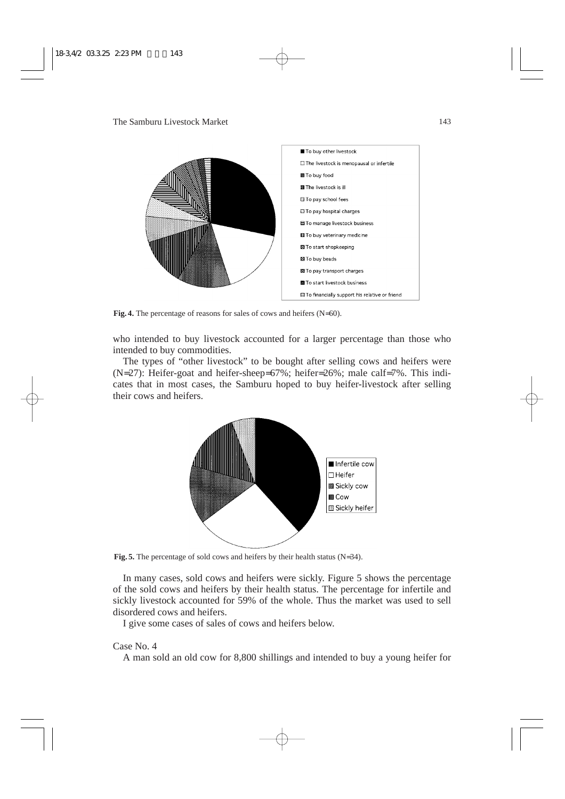

**Fig. 4.** The percentage of reasons for sales of cows and heifers (N=60).

who intended to buy livestock accounted for a larger percentage than those who intended to buy commodities.

The types of "other livestock" to be bought after selling cows and heifers were (N=27): Heifer-goat and heifer-sheep=67%; heifer=26%; male calf=7%. This indicates that in most cases, the Samburu hoped to buy heifer-livestock after selling their cows and heifers.



**Fig. 5.** The percentage of sold cows and heifers by their health status (N=34).

In many cases, sold cows and heifers were sickly. Figure 5 shows the percentage of the sold cows and heifers by their health status. The percentage for infertile and sickly livestock accounted for 59% of the whole. Thus the market was used to sell disordered cows and heifers.

I give some cases of sales of cows and heifers below.

### Case No. 4

A man sold an old cow for 8,800 shillings and intended to buy a young heifer for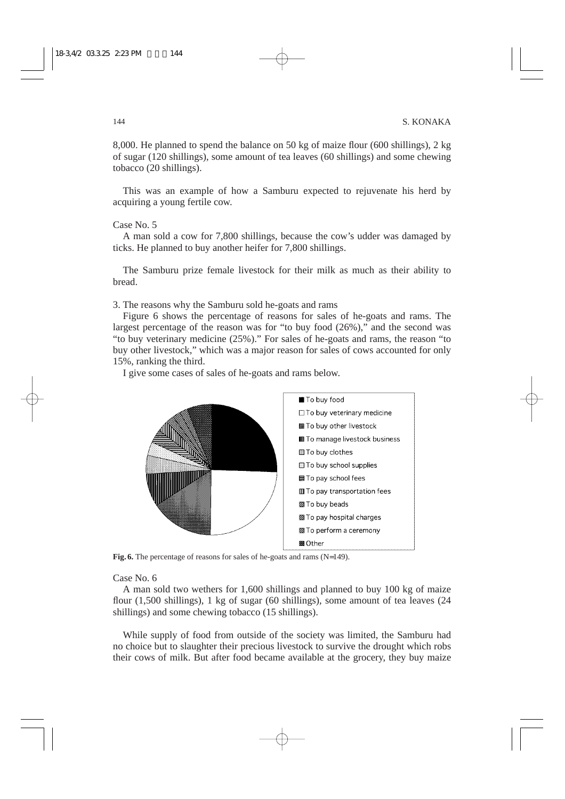8,000. He planned to spend the balance on 50 kg of maize flour (600 shillings), 2 kg of sugar (120 shillings), some amount of tea leaves (60 shillings) and some chewing tobacco (20 shillings).

This was an example of how a Samburu expected to rejuvenate his herd by acquiring a young fertile cow.

#### Case No. 5

A man sold a cow for 7,800 shillings, because the cow's udder was damaged by ticks. He planned to buy another heifer for 7,800 shillings.

The Samburu prize female livestock for their milk as much as their ability to bread.

3. The reasons why the Samburu sold he-goats and rams

Figure 6 shows the percentage of reasons for sales of he-goats and rams. The largest percentage of the reason was for "to buy food (26%)," and the second was "to buy veterinary medicine (25%)." For sales of he-goats and rams, the reason "to buy other livestock," which was a major reason for sales of cows accounted for only 15%, ranking the third.

I give some cases of sales of he-goats and rams below.



**Fig. 6.** The percentage of reasons for sales of he-goats and rams (N=149).

#### Case No. 6

A man sold two wethers for 1,600 shillings and planned to buy 100 kg of maize flour (1,500 shillings), 1 kg of sugar (60 shillings), some amount of tea leaves (24 shillings) and some chewing tobacco (15 shillings).

While supply of food from outside of the society was limited, the Samburu had no choice but to slaughter their precious livestock to survive the drought which robs their cows of milk. But after food became available at the grocery, they buy maize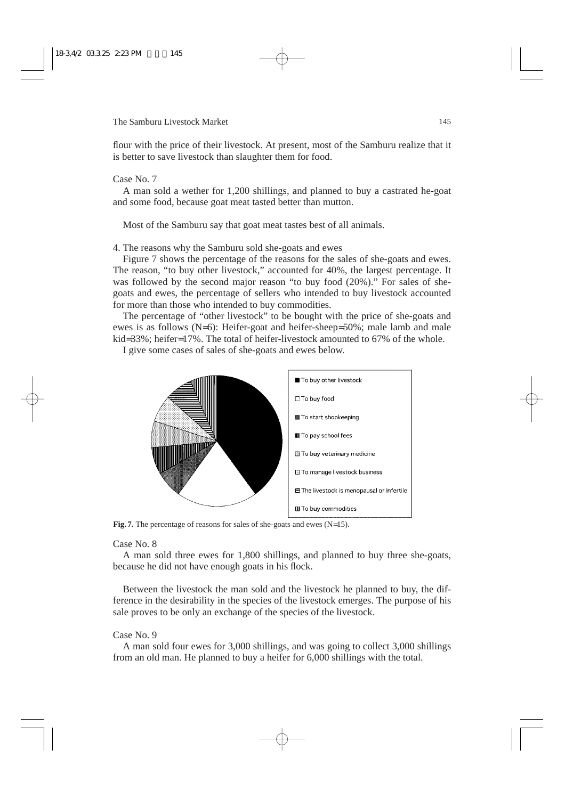flour with the price of their livestock. At present, most of the Samburu realize that it is better to save livestock than slaughter them for food.

# Case No. 7

A man sold a wether for 1,200 shillings, and planned to buy a castrated he-goat and some food, because goat meat tasted better than mutton.

Most of the Samburu say that goat meat tastes best of all animals.

4. The reasons why the Samburu sold she-goats and ewes

Figure 7 shows the percentage of the reasons for the sales of she-goats and ewes. The reason, "to buy other livestock," accounted for 40%, the largest percentage. It was followed by the second major reason "to buy food (20%)." For sales of shegoats and ewes, the percentage of sellers who intended to buy livestock accounted for more than those who intended to buy commodities.

The percentage of "other livestock" to be bought with the price of she-goats and ewes is as follows (N=6): Heifer-goat and heifer-sheep=50%; male lamb and male kid=33%; heifer=17%. The total of heifer-livestock amounted to 67% of the whole.

I give some cases of sales of she-goats and ewes below.



Fig. 7. The percentage of reasons for sales of she-goats and ewes (N=15).

### Case No. 8

A man sold three ewes for 1,800 shillings, and planned to buy three she-goats, because he did not have enough goats in his flock.

Between the livestock the man sold and the livestock he planned to buy, the difference in the desirability in the species of the livestock emerges. The purpose of his sale proves to be only an exchange of the species of the livestock.

# Case No. 9

A man sold four ewes for 3,000 shillings, and was going to collect 3,000 shillings from an old man. He planned to buy a heifer for 6,000 shillings with the total.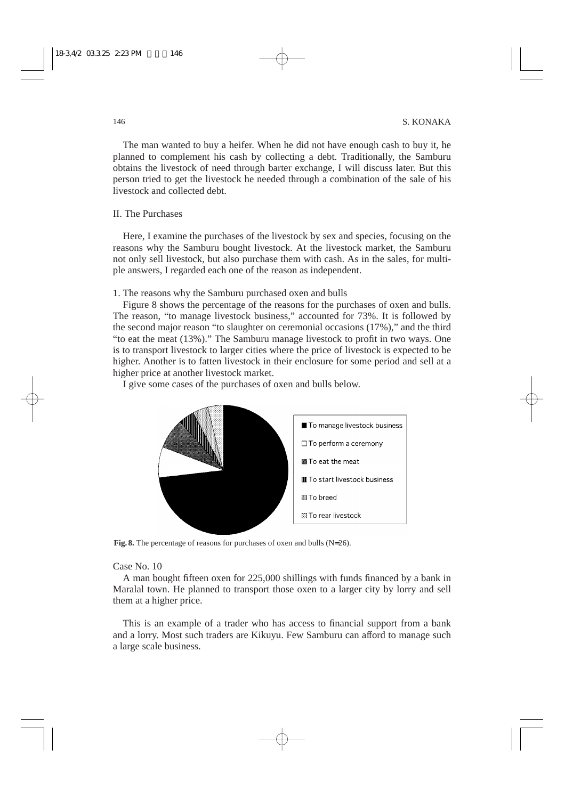The man wanted to buy a heifer. When he did not have enough cash to buy it, he planned to complement his cash by collecting a debt. Traditionally, the Samburu obtains the livestock of need through barter exchange, I will discuss later. But this person tried to get the livestock he needed through a combination of the sale of his livestock and collected debt.

# II. The Purchases

Here, I examine the purchases of the livestock by sex and species, focusing on the reasons why the Samburu bought livestock. At the livestock market, the Samburu not only sell livestock, but also purchase them with cash. As in the sales, for multiple answers, I regarded each one of the reason as independent.

1. The reasons why the Samburu purchased oxen and bulls

Figure 8 shows the percentage of the reasons for the purchases of oxen and bulls. The reason, "to manage livestock business," accounted for 73%. It is followed by the second major reason "to slaughter on ceremonial occasions (17%)," and the third "to eat the meat (13%)." The Samburu manage livestock to profit in two ways. One is to transport livestock to larger cities where the price of livestock is expected to be higher. Another is to fatten livestock in their enclosure for some period and sell at a higher price at another livestock market.

I give some cases of the purchases of oxen and bulls below.



**Fig. 8.** The percentage of reasons for purchases of oxen and bulls (N=26).

# Case No. 10

A man bought fifteen oxen for 225,000 shillings with funds financed by a bank in Maralal town. He planned to transport those oxen to a larger city by lorry and sell them at a higher price.

This is an example of a trader who has access to financial support from a bank and a lorry. Most such traders are Kikuyu. Few Samburu can afford to manage such a large scale business.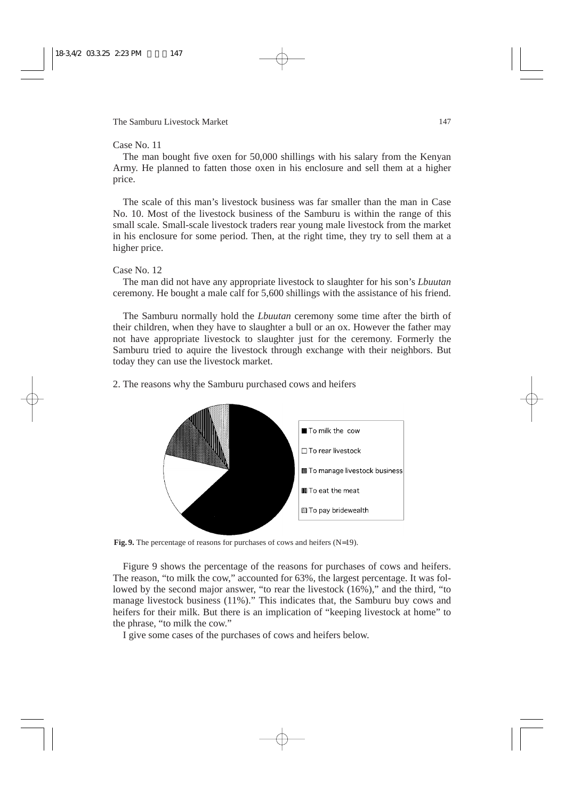### Case No. 11

The man bought five oxen for 50,000 shillings with his salary from the Kenyan Army. He planned to fatten those oxen in his enclosure and sell them at a higher price.

The scale of this man's livestock business was far smaller than the man in Case No. 10. Most of the livestock business of the Samburu is within the range of this small scale. Small-scale livestock traders rear young male livestock from the market in his enclosure for some period. Then, at the right time, they try to sell them at a higher price.

#### Case No. 12

The man did not have any appropriate livestock to slaughter for his son's *Lbuutan* ceremony. He bought a male calf for 5,600 shillings with the assistance of his friend.

The Samburu normally hold the *Lbuutan* ceremony some time after the birth of their children, when they have to slaughter a bull or an ox. However the father may not have appropriate livestock to slaughter just for the ceremony. Formerly the Samburu tried to aquire the livestock through exchange with their neighbors. But today they can use the livestock market.

2. The reasons why the Samburu purchased cows and heifers



**Fig. 9.** The percentage of reasons for purchases of cows and heifers (N=19).

Figure 9 shows the percentage of the reasons for purchases of cows and heifers. The reason, "to milk the cow," accounted for 63%, the largest percentage. It was followed by the second major answer, "to rear the livestock (16%)," and the third, "to manage livestock business (11%)." This indicates that, the Samburu buy cows and heifers for their milk. But there is an implication of "keeping livestock at home" to the phrase, "to milk the cow."

I give some cases of the purchases of cows and heifers below.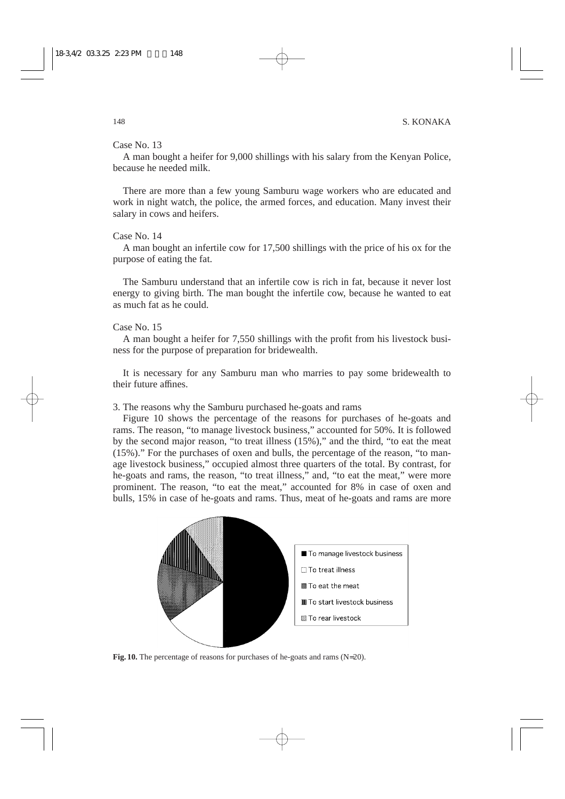### Case No. 13

A man bought a heifer for 9,000 shillings with his salary from the Kenyan Police, because he needed milk.

There are more than a few young Samburu wage workers who are educated and work in night watch, the police, the armed forces, and education. Many invest their salary in cows and heifers.

### Case No. 14

A man bought an infertile cow for 17,500 shillings with the price of his ox for the purpose of eating the fat.

The Samburu understand that an infertile cow is rich in fat, because it never lost energy to giving birth. The man bought the infertile cow, because he wanted to eat as much fat as he could.

### Case No. 15

A man bought a heifer for 7,550 shillings with the profit from his livestock business for the purpose of preparation for bridewealth.

It is necessary for any Samburu man who marries to pay some bridewealth to their future affines.

3. The reasons why the Samburu purchased he-goats and rams

Figure 10 shows the percentage of the reasons for purchases of he-goats and rams. The reason, "to manage livestock business," accounted for 50%. It is followed by the second major reason, "to treat illness (15%)," and the third, "to eat the meat (15%)." For the purchases of oxen and bulls, the percentage of the reason, "to manage livestock business," occupied almost three quarters of the total. By contrast, for he-goats and rams, the reason, "to treat illness," and, "to eat the meat," were more prominent. The reason, "to eat the meat," accounted for 8% in case of oxen and bulls, 15% in case of he-goats and rams. Thus, meat of he-goats and rams are more



**Fig. 10.** The percentage of reasons for purchases of he-goats and rams (N=20).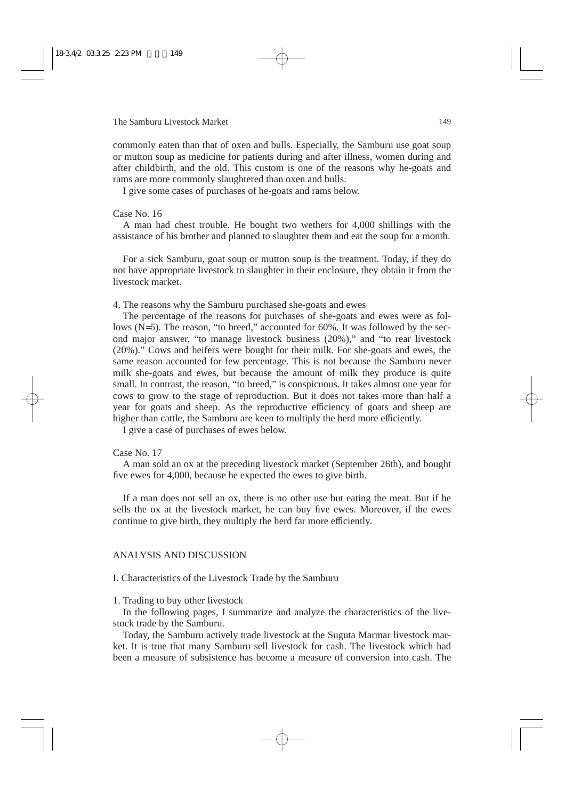commonly eaten than that of oxen and bulls. Especially, the Samburu use goat soup or mutton soup as medicine for patients during and after illness, women during and after childbirth, and the old. This custom is one of the reasons why he-goats and rams are more commonly slaughtered than oxen and bulls.

I give some cases of purchases of he-goats and rams below.

#### Case No. 16

A man had chest trouble. He bought two wethers for 4,000 shillings with the assistance of his brother and planned to slaughter them and eat the soup for a month.

For a sick Samburu, goat soup or mutton soup is the treatment. Today, if they do not have appropriate livestock to slaughter in their enclosure, they obtain it from the livestock market.

4. The reasons why the Samburu purchased she-goats and ewes

The percentage of the reasons for purchases of she-goats and ewes were as follows (N=5). The reason, "to breed," accounted for 60%. It was followed by the second major answer, "to manage livestock business (20%)," and "to rear livestock (20%)." Cows and heifers were bought for their milk. For she-goats and ewes, the same reason accounted for few percentage. This is not because the Samburu never milk she-goats and ewes, but because the amount of milk they produce is quite small. In contrast, the reason, "to breed," is conspicuous. It takes almost one year for cows to grow to the stage of reproduction. But it does not takes more than half a year for goats and sheep. As the reproductive efficiency of goats and sheep are higher than cattle, the Samburu are keen to multiply the herd more efficiently.

I give a case of purchases of ewes below.

#### Case No. 17

A man sold an ox at the preceding livestock market (September 26th), and bought five ewes for 4,000, because he expected the ewes to give birth.

If a man does not sell an ox, there is no other use but eating the meat. But if he sells the ox at the livestock market, he can buy five ewes. Moreover, if the ewes continue to give birth, they multiply the herd far more efficiently.

# ANALYSIS AND DISCUSSION

I. Characteristics of the Livestock Trade by the Samburu

#### 1. Trading to buy other livestock

In the following pages, I summarize and analyze the characteristics of the livestock trade by the Samburu.

Today, the Samburu actively trade livestock at the Suguta Marmar livestock market. It is true that many Samburu sell livestock for cash. The livestock which had been a measure of subsistence has become a measure of conversion into cash. The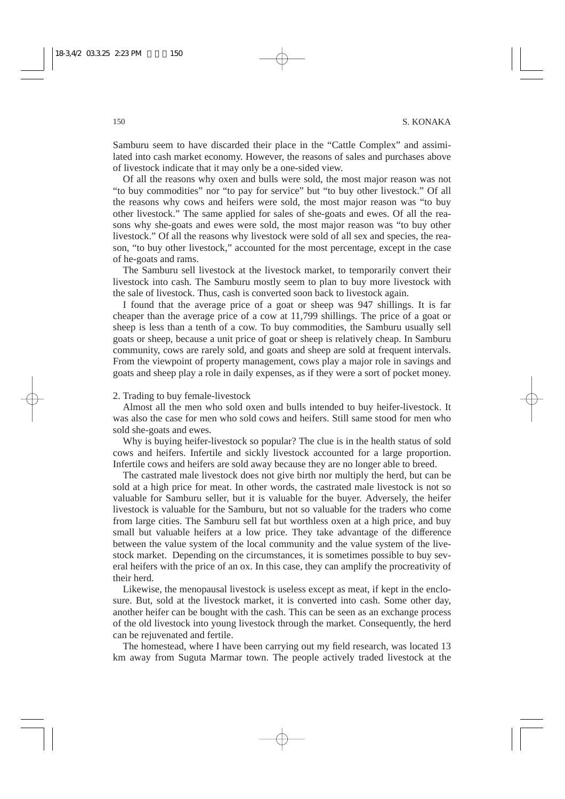Samburu seem to have discarded their place in the "Cattle Complex" and assimilated into cash market economy. However, the reasons of sales and purchases above of livestock indicate that it may only be a one-sided view.

Of all the reasons why oxen and bulls were sold, the most major reason was not "to buy commodities" nor "to pay for service" but "to buy other livestock." Of all the reasons why cows and heifers were sold, the most major reason was "to buy other livestock." The same applied for sales of she-goats and ewes. Of all the reasons why she-goats and ewes were sold, the most major reason was "to buy other livestock." Of all the reasons why livestock were sold of all sex and species, the reason, "to buy other livestock," accounted for the most percentage, except in the case of he-goats and rams.

The Samburu sell livestock at the livestock market, to temporarily convert their livestock into cash. The Samburu mostly seem to plan to buy more livestock with the sale of livestock. Thus, cash is converted soon back to livestock again.

I found that the average price of a goat or sheep was 947 shillings. It is far cheaper than the average price of a cow at 11,799 shillings. The price of a goat or sheep is less than a tenth of a cow. To buy commodities, the Samburu usually sell goats or sheep, because a unit price of goat or sheep is relatively cheap. In Samburu community, cows are rarely sold, and goats and sheep are sold at frequent intervals. From the viewpoint of property management, cows play a major role in savings and goats and sheep play a role in daily expenses, as if they were a sort of pocket money.

#### 2. Trading to buy female-livestock

Almost all the men who sold oxen and bulls intended to buy heifer-livestock. It was also the case for men who sold cows and heifers. Still same stood for men who sold she-goats and ewes.

Why is buying heifer-livestock so popular? The clue is in the health status of sold cows and heifers. Infertile and sickly livestock accounted for a large proportion. Infertile cows and heifers are sold away because they are no longer able to breed.

The castrated male livestock does not give birth nor multiply the herd, but can be sold at a high price for meat. In other words, the castrated male livestock is not so valuable for Samburu seller, but it is valuable for the buyer. Adversely, the heifer livestock is valuable for the Samburu, but not so valuable for the traders who come from large cities. The Samburu sell fat but worthless oxen at a high price, and buy small but valuable heifers at a low price. They take advantage of the difference between the value system of the local community and the value system of the livestock market. Depending on the circumstances, it is sometimes possible to buy several heifers with the price of an ox. In this case, they can amplify the procreativity of their herd.

Likewise, the menopausal livestock is useless except as meat, if kept in the enclosure. But, sold at the livestock market, it is converted into cash. Some other day, another heifer can be bought with the cash. This can be seen as an exchange process of the old livestock into young livestock through the market. Consequently, the herd can be rejuvenated and fertile.

The homestead, where I have been carrying out my field research, was located 13 km away from Suguta Marmar town. The people actively traded livestock at the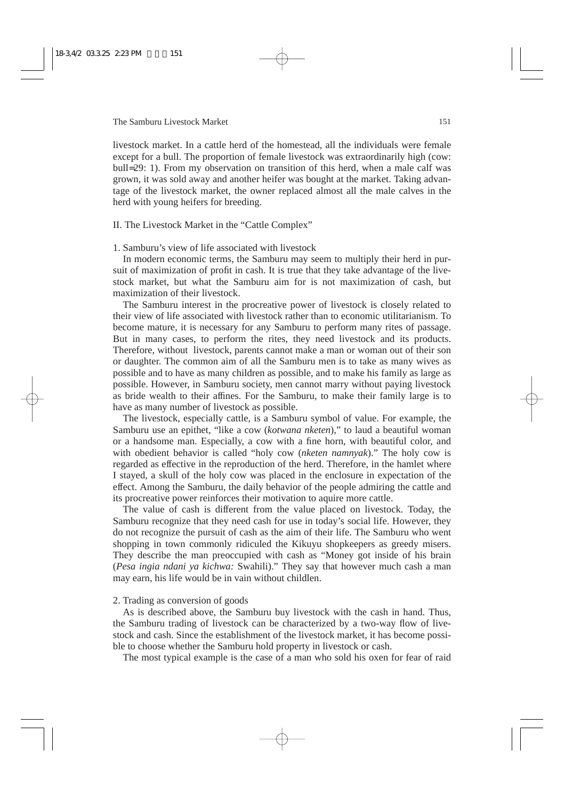livestock market. In a cattle herd of the homestead, all the individuals were female except for a bull. The proportion of female livestock was extraordinarily high (cow: bull=29: 1). From my observation on transition of this herd, when a male calf was grown, it was sold away and another heifer was bought at the market. Taking advantage of the livestock market, the owner replaced almost all the male calves in the herd with young heifers for breeding.

#### II. The Livestock Market in the "Cattle Complex"

1. Samburu's view of life associated with livestock

In modern economic terms, the Samburu may seem to multiply their herd in pursuit of maximization of profit in cash. It is true that they take advantage of the livestock market, but what the Samburu aim for is not maximization of cash, but maximization of their livestock.

The Samburu interest in the procreative power of livestock is closely related to their view of life associated with livestock rather than to economic utilitarianism. To become mature, it is necessary for any Samburu to perform many rites of passage. But in many cases, to perform the rites, they need livestock and its products. Therefore, without livestock, parents cannot make a man or woman out of their son or daughter. The common aim of all the Samburu men is to take as many wives as possible and to have as many children as possible, and to make his family as large as possible. However, in Samburu society, men cannot marry without paying livestock as bride wealth to their affines. For the Samburu, to make their family large is to have as many number of livestock as possible.

The livestock, especially cattle, is a Samburu symbol of value. For example, the Samburu use an epithet, "like a cow (*kotwana nketen*)," to laud a beautiful woman or a handsome man. Especially, a cow with a fine horn, with beautiful color, and with obedient behavior is called "holy cow (*nketen namnyak*)." The holy cow is regarded as effective in the reproduction of the herd. Therefore, in the hamlet where I stayed, a skull of the holy cow was placed in the enclosure in expectation of the effect. Among the Samburu, the daily behavior of the people admiring the cattle and its procreative power reinforces their motivation to aquire more cattle.

The value of cash is different from the value placed on livestock. Today, the Samburu recognize that they need cash for use in today's social life. However, they do not recognize the pursuit of cash as the aim of their life. The Samburu who went shopping in town commonly ridiculed the Kikuyu shopkeepers as greedy misers. They describe the man preoccupied with cash as "Money got inside of his brain (*Pesa ingia ndani ya kichwa:* Swahili)." They say that however much cash a man may earn, his life would be in vain without childlen.

#### 2. Trading as conversion of goods

As is described above, the Samburu buy livestock with the cash in hand. Thus, the Samburu trading of livestock can be characterized by a two-way flow of livestock and cash. Since the establishment of the livestock market, it has become possible to choose whether the Samburu hold property in livestock or cash.

The most typical example is the case of a man who sold his oxen for fear of raid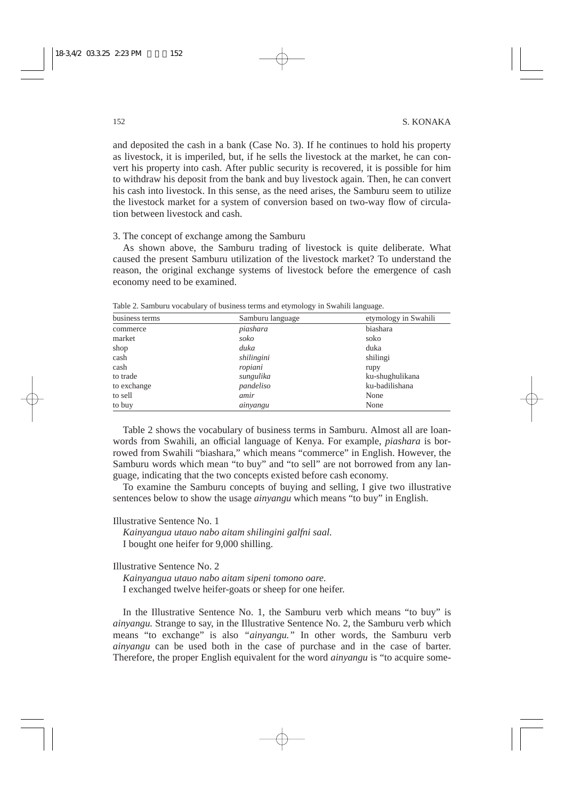and deposited the cash in a bank (Case No. 3). If he continues to hold his property as livestock, it is imperiled, but, if he sells the livestock at the market, he can convert his property into cash. After public security is recovered, it is possible for him to withdraw his deposit from the bank and buy livestock again. Then, he can convert his cash into livestock. In this sense, as the need arises, the Samburu seem to utilize the livestock market for a system of conversion based on two-way flow of circulation between livestock and cash.

3. The concept of exchange among the Samburu

As shown above, the Samburu trading of livestock is quite deliberate. What caused the present Samburu utilization of the livestock market? To understand the reason, the original exchange systems of livestock before the emergence of cash economy need to be examined.

| business terms | Samburu language | etymology in Swahili |
|----------------|------------------|----------------------|
| commerce       | piashara         | biashara             |
| market         | soko             | soko                 |
| shop           | duka             | duka                 |
| cash           | shilingini       | shilingi             |
| cash           | ropiani          | rupy                 |
| to trade       | sungulika        | ku-shughulikana      |
| to exchange    | pandeliso        | ku-badilishana       |
| to sell        | amir             | None                 |
| to buy         | ainyangu         | None                 |

Table 2. Samburu vocabulary of business terms and etymology in Swahili language.

Table 2 shows the vocabulary of business terms in Samburu. Almost all are loanwords from Swahili, an official language of Kenya. For example, *piashara* is borrowed from Swahili "biashara," which means "commerce" in English. However, the Samburu words which mean "to buy" and "to sell" are not borrowed from any language, indicating that the two concepts existed before cash economy.

To examine the Samburu concepts of buying and selling, I give two illustrative sentences below to show the usage *ainyangu* which means "to buy" in English.

#### Illustrative Sentence No. 1

*Kainyangua utauo nabo aitam shilingini galfni saal.* I bought one heifer for 9,000 shilling.

# Illustrative Sentence No. 2

*Kainyangua utauo nabo aitam sipeni tomono oare.* I exchanged twelve heifer-goats or sheep for one heifer.

In the Illustrative Sentence No. 1, the Samburu verb which means "to buy" is *ainyangu.* Strange to say, in the Illustrative Sentence No. 2, the Samburu verb which means "to exchange" is also *"ainyangu."* In other words, the Samburu verb *ainyangu* can be used both in the case of purchase and in the case of barter. Therefore, the proper English equivalent for the word *ainyangu* is "to acquire some-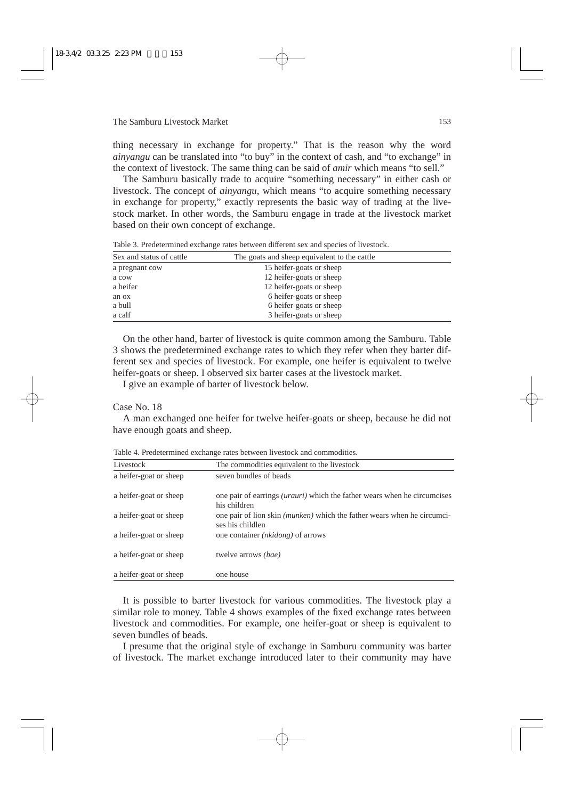thing necessary in exchange for property." That is the reason why the word *ainyangu* can be translated into "to buy" in the context of cash, and "to exchange" in the context of livestock. The same thing can be said of *amir* which means "to sell."

The Samburu basically trade to acquire "something necessary" in either cash or livestock. The concept of *ainyangu,* which means "to acquire something necessary in exchange for property," exactly represents the basic way of trading at the livestock market. In other words, the Samburu engage in trade at the livestock market based on their own concept of exchange.

| Sex and status of cattle | The goats and sheep equivalent to the cattle |  |
|--------------------------|----------------------------------------------|--|
| a pregnant cow           | 15 heifer-goats or sheep                     |  |
| a cow                    | 12 heifer-goats or sheep                     |  |
| a heifer                 | 12 heifer-goats or sheep                     |  |
| an ox                    | 6 heifer-goats or sheep                      |  |
| a bull                   | 6 heifer-goats or sheep                      |  |
| a calf                   | 3 heifer-goats or sheep                      |  |
|                          |                                              |  |

Table 3. Predetermined exchange rates between different sex and species of livestock.

On the other hand, barter of livestock is quite common among the Samburu. Table 3 shows the predetermined exchange rates to which they refer when they barter different sex and species of livestock. For example, one heifer is equivalent to twelve heifer-goats or sheep. I observed six barter cases at the livestock market.

I give an example of barter of livestock below.

#### Case No. 18

A man exchanged one heifer for twelve heifer-goats or sheep, because he did not have enough goats and sheep.

| Livestock              | The commodities equivalent to the livestock                                                        |
|------------------------|----------------------------------------------------------------------------------------------------|
| a heifer-goat or sheep | seven bundles of beads                                                                             |
| a heifer-goat or sheep | one pair of earrings <i>(urauri)</i> which the father wears when he circumcises<br>his children    |
| a heifer-goat or sheep | one pair of lion skin <i>(munken)</i> which the father wears when he circumci-<br>ses his childlen |
| a heifer-goat or sheep | one container <i>(nkidong)</i> of arrows                                                           |
| a heifer-goat or sheep | twelve arrows <i>(bae)</i>                                                                         |
| a heifer-goat or sheep | one house                                                                                          |

Table 4. Predetermined exchange rates between livestock and commodities.

It is possible to barter livestock for various commodities. The livestock play a similar role to money. Table 4 shows examples of the fixed exchange rates between livestock and commodities. For example, one heifer-goat or sheep is equivalent to seven bundles of beads.

I presume that the original style of exchange in Samburu community was barter of livestock. The market exchange introduced later to their community may have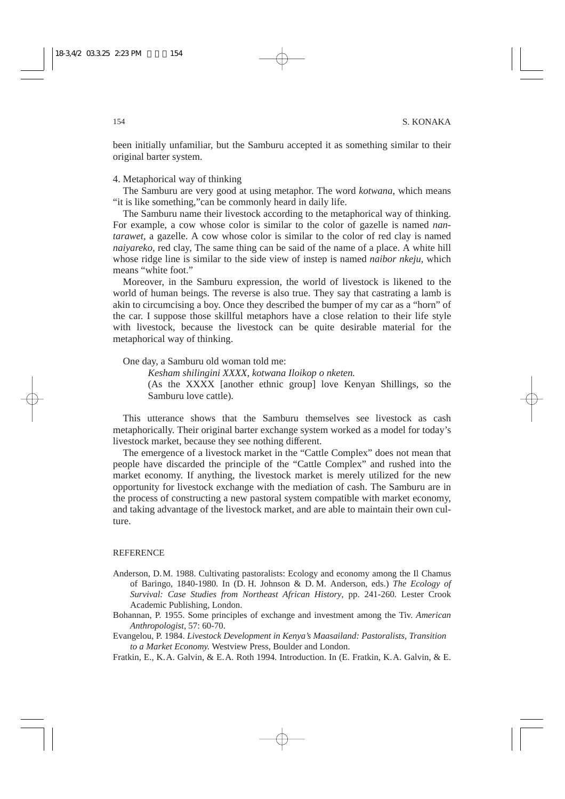been initially unfamiliar, but the Samburu accepted it as something similar to their original barter system.

4. Metaphorical way of thinking

The Samburu are very good at using metaphor. The word *kotwana,* which means "it is like something,"can be commonly heard in daily life.

The Samburu name their livestock according to the metaphorical way of thinking. For example, a cow whose color is similar to the color of gazelle is named *nantarawet,* a gazelle. A cow whose color is similar to the color of red clay is named *naiyareko,* red clay, The same thing can be said of the name of a place. A white hill whose ridge line is similar to the side view of instep is named *naibor nkeju,* which means "white foot."

Moreover, in the Samburu expression, the world of livestock is likened to the world of human beings. The reverse is also true. They say that castrating a lamb is akin to circumcising a boy. Once they described the bumper of my car as a "horn" of the car. I suppose those skillful metaphors have a close relation to their life style with livestock, because the livestock can be quite desirable material for the metaphorical way of thinking.

One day, a Samburu old woman told me:

*Kesham shilingini XXXX, kotwana Iloikop o nketen.* (As the XXXX [another ethnic group] love Kenyan Shillings, so the Samburu love cattle).

This utterance shows that the Samburu themselves see livestock as cash metaphorically. Their original barter exchange system worked as a model for today's livestock market, because they see nothing different.

The emergence of a livestock market in the "Cattle Complex" does not mean that people have discarded the principle of the "Cattle Complex" and rushed into the market economy. If anything, the livestock market is merely utilized for the new opportunity for livestock exchange with the mediation of cash. The Samburu are in the process of constructing a new pastoral system compatible with market economy, and taking advantage of the livestock market, and are able to maintain their own culture.

#### **REFERENCE**

- Anderson, D.M. 1988. Cultivating pastoralists: Ecology and economy among the Il Chamus of Baringo, 1840-1980. In (D. H. Johnson & D. M. Anderson, eds.) *The Ecology of Survival: Case Studies from Northeast African History*, pp. 241-260. Lester Crook Academic Publishing, London.
- Bohannan, P. 1955. Some principles of exchange and investment among the Tiv. *American Anthropologist,* 57: 60-70.
- Evangelou, P. 1984. *Livestock Development in Kenya's Maasailand: Pastoralists, Transition to a Market Economy.* Westview Press, Boulder and London.
- Fratkin, E., K.A. Galvin, & E.A. Roth 1994. Introduction. In (E. Fratkin, K.A. Galvin, & E.